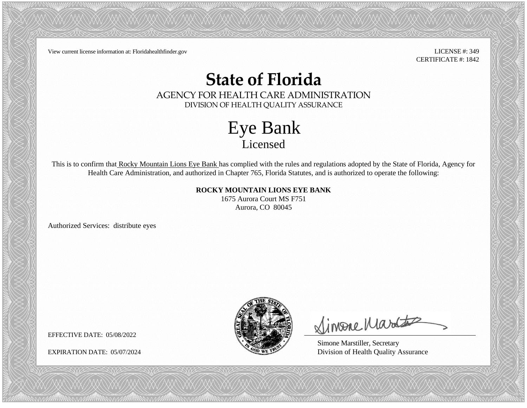View current license information at: Floridahealthfinder.gov LICENSE #: 349

CERTIFICATE #: 1842

#### **State of Florida**

AGENCY FOR HEALTH CARE ADMINISTRATION DIVISION OF HEALTH QUALITY ASSURANCE

> Eye Bank Licensed

This is to confirm that Rocky Mountain Lions Eye Bank has complied with the rules and regulations adopted by the State of Florida, Agency for Health Care Administration, and authorized in Chapter 765, Florida Statutes, and is authorized to operate the following:

> **ROCKY MOUNTAIN LIONS EYE BANK** 1675 Aurora Court MS F751 Aurora, CO 80045

Authorized Services: distribute eyes



Simone Martes

Simone Marstiller, Secretary EXPIRATION DATE: 05/07/2024 Division of Health Quality Assurance

EFFECTIVE DATE: 05/08/2022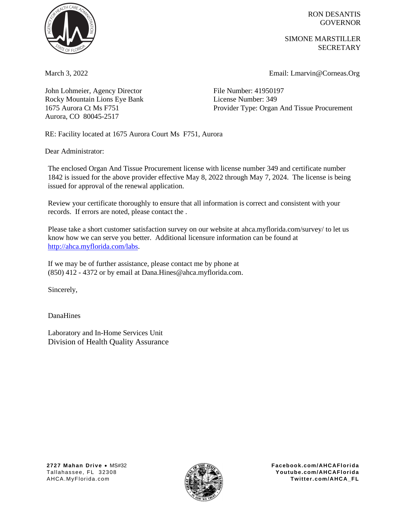

John Lohmeier, Agency Director File Number: 41950197 Rocky Mountain Lions Eye Bank License Number: 349 1675 Aurora Ct Ms F751 Aurora, CO 80045-2517

RON DESANTIS **GOVERNOR** 

SIMONE MARSTILLER **SECRETARY** 

March 3, 2022 Email: Lmarvin@Corneas.Org

Provider Type: Organ And Tissue Procurement

RE: Facility located at 1675 Aurora Court Ms F751, Aurora

Dear Administrator:

The enclosed Organ And Tissue Procurement license with license number 349 and certificate number 1842 is issued for the above provider effective May 8, 2022 through May 7, 2024. The license is being issued for approval of the renewal application.

Review your certificate thoroughly to ensure that all information is correct and consistent with your records. If errors are noted, please contact the .

Please take a short customer satisfaction survey on our website at [ahca.myflorida.com/survey/](http://ahca.myflorida.com/survey) to let us know how we can serve you better. Additional licensure information can be found at [http://ahca.myflorida.com/labs.](http://ahca.myflorida.com/labs)

If we may be of further assistance, please contact me by phone at (850) 412 - 4372 or by email at Dana.Hines@ahca.myflorida.com.

Sincerely,

DanaHines

Laboratory and In-Home Services Unit Division of Health Quality Assurance

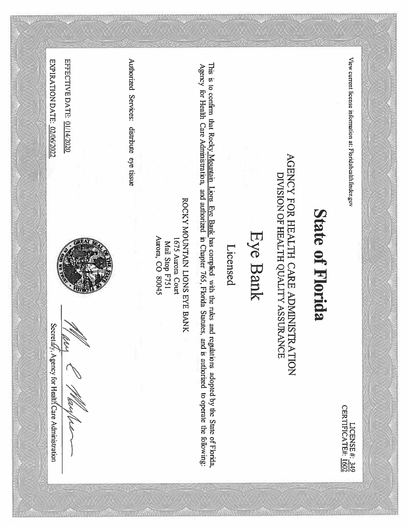View current license information at: Floridahealthfinder.gov

LICENSE #: 349<br>CERTIFICATE#: 1602

# **State of Florida**

## AGENCY FOR HEALTH CARE ADMINISTRATION DIVISION OF HEALTH QUALITY ASSURANCE

### Eye Bank

### Licensed

This is to confirm that Rocky Mountain Lions Eye Bank has complied with the rules and regulations adopted by the State of Florida, Agency for Health Care Administration, and authorized in Chapter 765, Florida Statutes, and is authorized to operate the following:

ROCKY MOUNTAIN LIONS EYE BANK Mail Stop F751<br>Aurora, CO 80045 1675 Aurora Court

Authorized Services: distribute eye tissue

EXPIRATION DATE: 02/06/2022

Secretá/y, Agency for Healt/ Care Administration

EFFECTIVE DATE: 01/14/2020